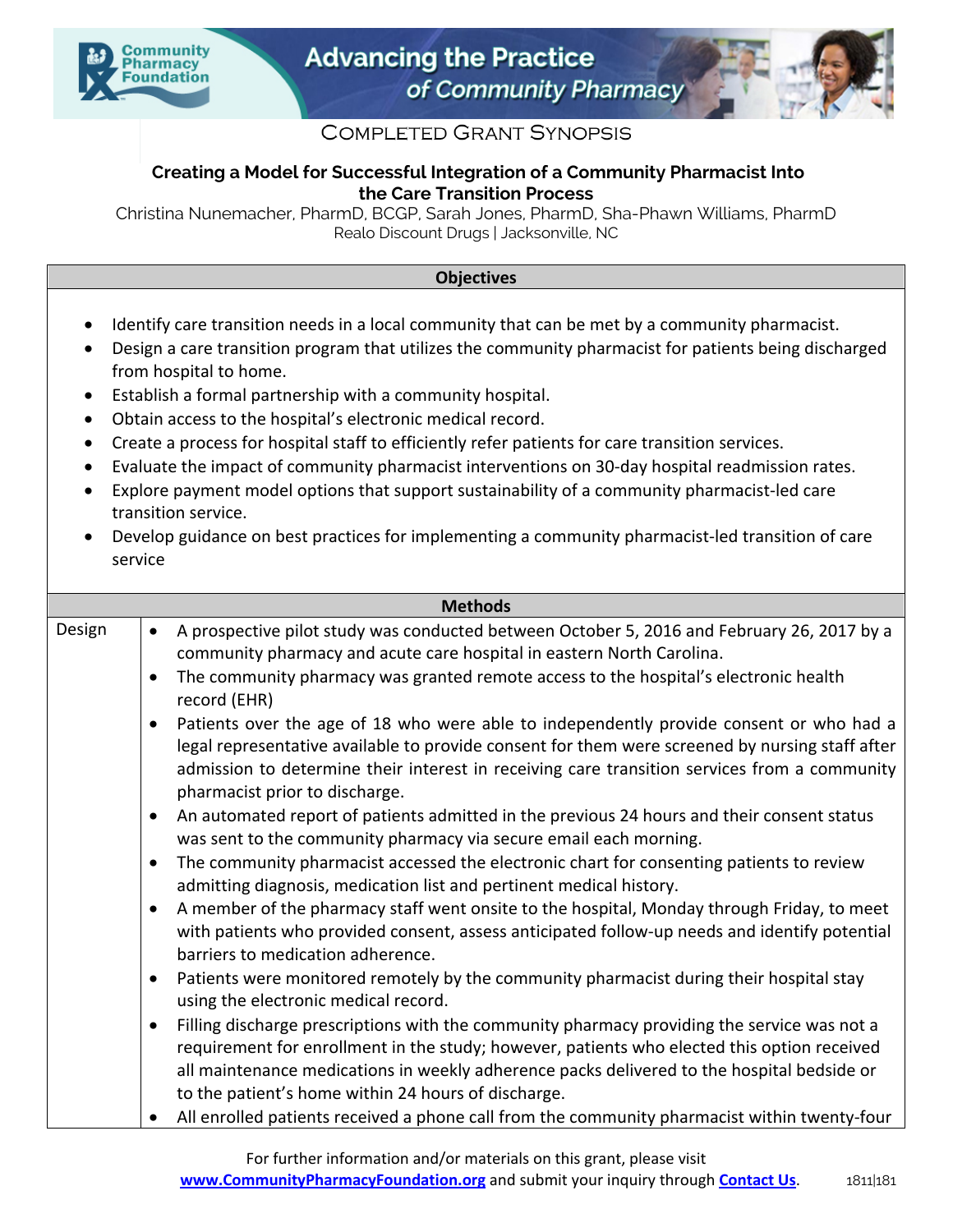



## **COMPLETED GRANT SYNOPSIS**

## **Creating a Model for Successful Integration of a Community Pharmacist Into the Care Transition Process**

Christina Nunemacher, PharmD, BCGP, Sarah Jones, PharmD, Sha-Phawn Williams, PharmD Realo Discount Drugs | Jacksonville, NC

## **Objectives**

- Identify care transition needs in a local community that can be met by a community pharmacist.
- Design a care transition program that utilizes the community pharmacist for patients being discharged from hospital to home.
- Establish a formal partnership with a community hospital.
- Obtain access to the hospital's electronic medical record.
- Create a process for hospital staff to efficiently refer patients for care transition services.
- Evaluate the impact of community pharmacist interventions on 30-day hospital readmission rates.
- Explore payment model options that support sustainability of a community pharmacist-led care transition service.
- Develop guidance on best practices for implementing a community pharmacist-led transition of care service

| <b>Methods</b> |                                                                                                                                                                                                                                                                                                                                                              |  |
|----------------|--------------------------------------------------------------------------------------------------------------------------------------------------------------------------------------------------------------------------------------------------------------------------------------------------------------------------------------------------------------|--|
| Design         | A prospective pilot study was conducted between October 5, 2016 and February 26, 2017 by a<br>$\bullet$<br>community pharmacy and acute care hospital in eastern North Carolina.                                                                                                                                                                             |  |
|                | The community pharmacy was granted remote access to the hospital's electronic health<br>$\bullet$<br>record (EHR)                                                                                                                                                                                                                                            |  |
|                | Patients over the age of 18 who were able to independently provide consent or who had a<br>$\bullet$<br>legal representative available to provide consent for them were screened by nursing staff after<br>admission to determine their interest in receiving care transition services from a community<br>pharmacist prior to discharge.                    |  |
|                | An automated report of patients admitted in the previous 24 hours and their consent status<br>$\bullet$<br>was sent to the community pharmacy via secure email each morning.                                                                                                                                                                                 |  |
|                | The community pharmacist accessed the electronic chart for consenting patients to review<br>$\bullet$<br>admitting diagnosis, medication list and pertinent medical history.                                                                                                                                                                                 |  |
|                | A member of the pharmacy staff went onsite to the hospital, Monday through Friday, to meet<br>with patients who provided consent, assess anticipated follow-up needs and identify potential<br>barriers to medication adherence.                                                                                                                             |  |
|                | Patients were monitored remotely by the community pharmacist during their hospital stay<br>$\bullet$<br>using the electronic medical record.                                                                                                                                                                                                                 |  |
|                | Filling discharge prescriptions with the community pharmacy providing the service was not a<br>$\bullet$<br>requirement for enrollment in the study; however, patients who elected this option received<br>all maintenance medications in weekly adherence packs delivered to the hospital bedside or<br>to the patient's home within 24 hours of discharge. |  |
|                | All enrolled patients received a phone call from the community pharmacist within twenty-four                                                                                                                                                                                                                                                                 |  |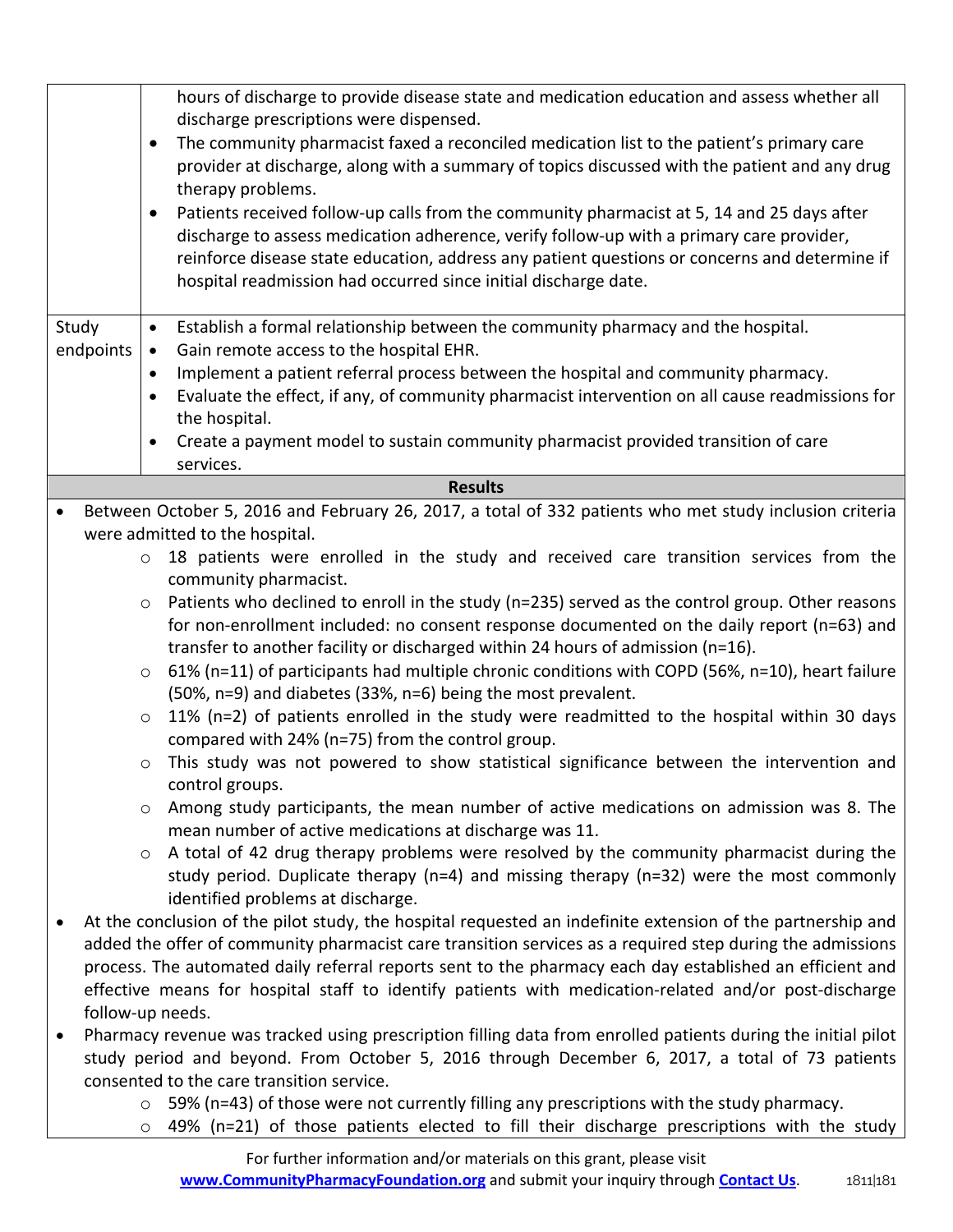|                                                                                                |           | hours of discharge to provide disease state and medication education and assess whether all                                                                                            |
|------------------------------------------------------------------------------------------------|-----------|----------------------------------------------------------------------------------------------------------------------------------------------------------------------------------------|
|                                                                                                |           | discharge prescriptions were dispensed.                                                                                                                                                |
|                                                                                                |           | The community pharmacist faxed a reconciled medication list to the patient's primary care<br>$\bullet$                                                                                 |
|                                                                                                |           | provider at discharge, along with a summary of topics discussed with the patient and any drug                                                                                          |
|                                                                                                |           | therapy problems.<br>$\bullet$                                                                                                                                                         |
|                                                                                                |           | Patients received follow-up calls from the community pharmacist at 5, 14 and 25 days after<br>discharge to assess medication adherence, verify follow-up with a primary care provider, |
|                                                                                                |           | reinforce disease state education, address any patient questions or concerns and determine if                                                                                          |
|                                                                                                |           | hospital readmission had occurred since initial discharge date.                                                                                                                        |
|                                                                                                |           |                                                                                                                                                                                        |
| Study                                                                                          |           | Establish a formal relationship between the community pharmacy and the hospital.<br>$\bullet$                                                                                          |
|                                                                                                | endpoints | Gain remote access to the hospital EHR.<br>$\bullet$                                                                                                                                   |
|                                                                                                |           | Implement a patient referral process between the hospital and community pharmacy.<br>$\bullet$                                                                                         |
|                                                                                                |           | Evaluate the effect, if any, of community pharmacist intervention on all cause readmissions for<br>$\bullet$                                                                           |
|                                                                                                |           | the hospital.                                                                                                                                                                          |
|                                                                                                |           | Create a payment model to sustain community pharmacist provided transition of care<br>$\bullet$                                                                                        |
|                                                                                                |           | services.                                                                                                                                                                              |
| <b>Results</b>                                                                                 |           |                                                                                                                                                                                        |
| $\bullet$                                                                                      |           | Between October 5, 2016 and February 26, 2017, a total of 332 patients who met study inclusion criteria                                                                                |
|                                                                                                |           | were admitted to the hospital.                                                                                                                                                         |
|                                                                                                |           | 18 patients were enrolled in the study and received care transition services from the<br>$\circ$                                                                                       |
|                                                                                                |           | community pharmacist.                                                                                                                                                                  |
|                                                                                                |           | Patients who declined to enroll in the study (n=235) served as the control group. Other reasons<br>$\circ$                                                                             |
|                                                                                                |           | for non-enrollment included: no consent response documented on the daily report (n=63) and<br>transfer to another facility or discharged within 24 hours of admission (n=16).          |
|                                                                                                |           | 61% (n=11) of participants had multiple chronic conditions with COPD (56%, n=10), heart failure<br>$\circ$                                                                             |
|                                                                                                |           | (50%, n=9) and diabetes (33%, n=6) being the most prevalent.                                                                                                                           |
|                                                                                                |           | 11% (n=2) of patients enrolled in the study were readmitted to the hospital within 30 days<br>$\circ$                                                                                  |
|                                                                                                |           | compared with 24% (n=75) from the control group.                                                                                                                                       |
|                                                                                                |           | This study was not powered to show statistical significance between the intervention and<br>$\circ$                                                                                    |
|                                                                                                |           | control groups.                                                                                                                                                                        |
|                                                                                                |           | Among study participants, the mean number of active medications on admission was 8. The<br>$\circ$                                                                                     |
|                                                                                                |           | mean number of active medications at discharge was 11.                                                                                                                                 |
|                                                                                                |           | A total of 42 drug therapy problems were resolved by the community pharmacist during the<br>$\circ$                                                                                    |
|                                                                                                |           | study period. Duplicate therapy ( $n=4$ ) and missing therapy ( $n=32$ ) were the most commonly                                                                                        |
|                                                                                                |           | identified problems at discharge.                                                                                                                                                      |
| $\bullet$                                                                                      |           | At the conclusion of the pilot study, the hospital requested an indefinite extension of the partnership and                                                                            |
|                                                                                                |           | added the offer of community pharmacist care transition services as a required step during the admissions                                                                              |
|                                                                                                |           | process. The automated daily referral reports sent to the pharmacy each day established an efficient and                                                                               |
|                                                                                                |           | effective means for hospital staff to identify patients with medication-related and/or post-discharge                                                                                  |
|                                                                                                |           | follow-up needs.                                                                                                                                                                       |
| $\bullet$                                                                                      |           | Pharmacy revenue was tracked using prescription filling data from enrolled patients during the initial pilot                                                                           |
| study period and beyond. From October 5, 2016 through December 6, 2017, a total of 73 patients |           |                                                                                                                                                                                        |
|                                                                                                |           | consented to the care transition service.                                                                                                                                              |
|                                                                                                |           | 59% (n=43) of those were not currently filling any prescriptions with the study pharmacy.<br>$\circ$                                                                                   |
|                                                                                                |           | 49% (n=21) of those patients elected to fill their discharge prescriptions with the study<br>$\circ$                                                                                   |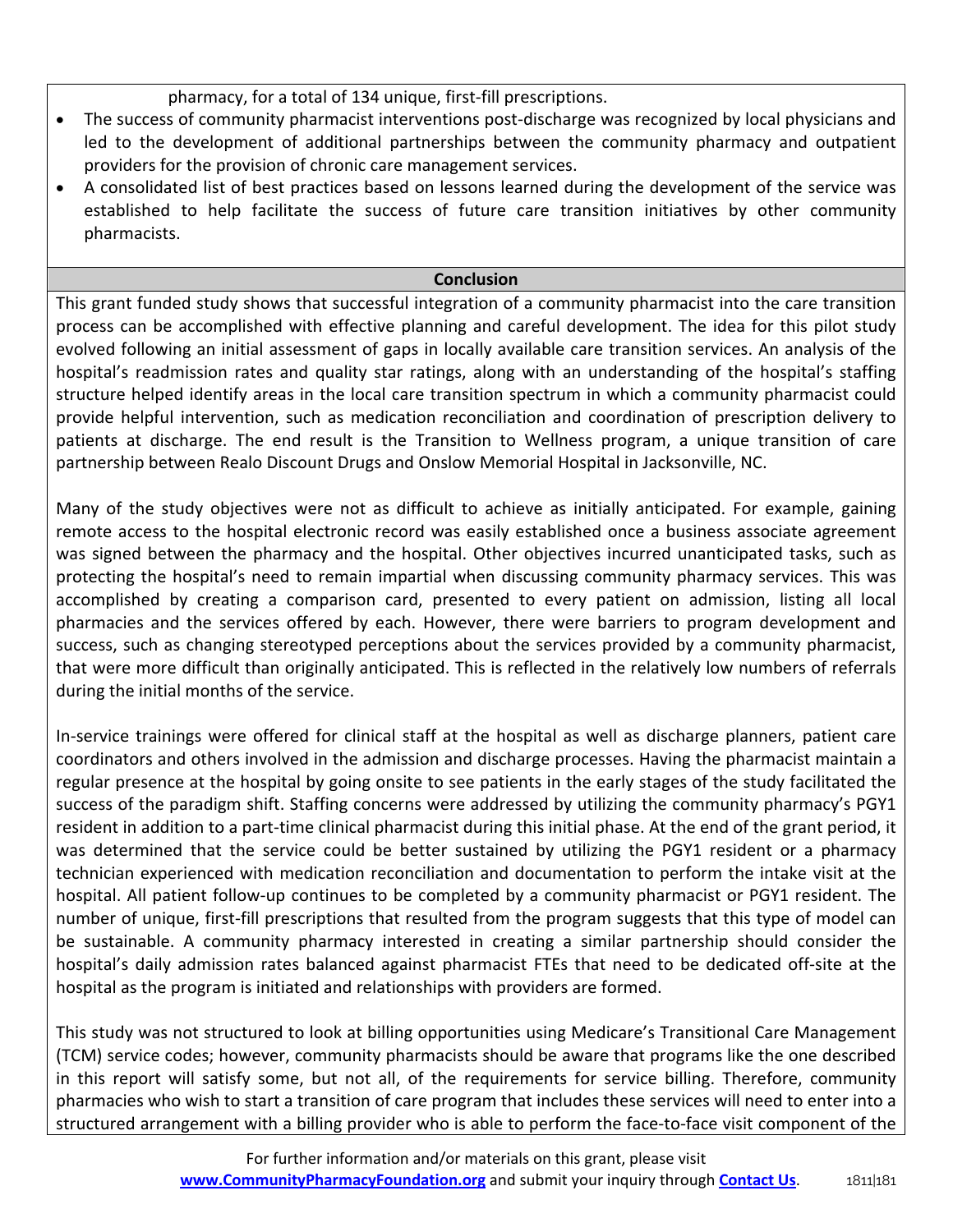pharmacy, for a total of 134 unique, first-fill prescriptions.

- The success of community pharmacist interventions post-discharge was recognized by local physicians and led to the development of additional partnerships between the community pharmacy and outpatient providers for the provision of chronic care management services.
- A consolidated list of best practices based on lessons learned during the development of the service was established to help facilitate the success of future care transition initiatives by other community pharmacists.

## **Conclusion**

This grant funded study shows that successful integration of a community pharmacist into the care transition process can be accomplished with effective planning and careful development. The idea for this pilot study evolved following an initial assessment of gaps in locally available care transition services. An analysis of the hospital's readmission rates and quality star ratings, along with an understanding of the hospital's staffing structure helped identify areas in the local care transition spectrum in which a community pharmacist could provide helpful intervention, such as medication reconciliation and coordination of prescription delivery to patients at discharge. The end result is the Transition to Wellness program, a unique transition of care partnership between Realo Discount Drugs and Onslow Memorial Hospital in Jacksonville, NC.

Many of the study objectives were not as difficult to achieve as initially anticipated. For example, gaining remote access to the hospital electronic record was easily established once a business associate agreement was signed between the pharmacy and the hospital. Other objectives incurred unanticipated tasks, such as protecting the hospital's need to remain impartial when discussing community pharmacy services. This was accomplished by creating a comparison card, presented to every patient on admission, listing all local pharmacies and the services offered by each. However, there were barriers to program development and success, such as changing stereotyped perceptions about the services provided by a community pharmacist, that were more difficult than originally anticipated. This is reflected in the relatively low numbers of referrals during the initial months of the service.

In-service trainings were offered for clinical staff at the hospital as well as discharge planners, patient care coordinators and others involved in the admission and discharge processes. Having the pharmacist maintain a regular presence at the hospital by going onsite to see patients in the early stages of the study facilitated the success of the paradigm shift. Staffing concerns were addressed by utilizing the community pharmacy's PGY1 resident in addition to a part-time clinical pharmacist during this initial phase. At the end of the grant period, it was determined that the service could be better sustained by utilizing the PGY1 resident or a pharmacy technician experienced with medication reconciliation and documentation to perform the intake visit at the hospital. All patient follow-up continues to be completed by a community pharmacist or PGY1 resident. The number of unique, first-fill prescriptions that resulted from the program suggests that this type of model can be sustainable. A community pharmacy interested in creating a similar partnership should consider the hospital's daily admission rates balanced against pharmacist FTEs that need to be dedicated off-site at the hospital as the program is initiated and relationships with providers are formed.

This study was not structured to look at billing opportunities using Medicare's Transitional Care Management (TCM) service codes; however, community pharmacists should be aware that programs like the one described in this report will satisfy some, but not all, of the requirements for service billing. Therefore, community pharmacies who wish to start a transition of care program that includes these services will need to enter into a structured arrangement with a billing provider who is able to perform the face-to-face visit component of the